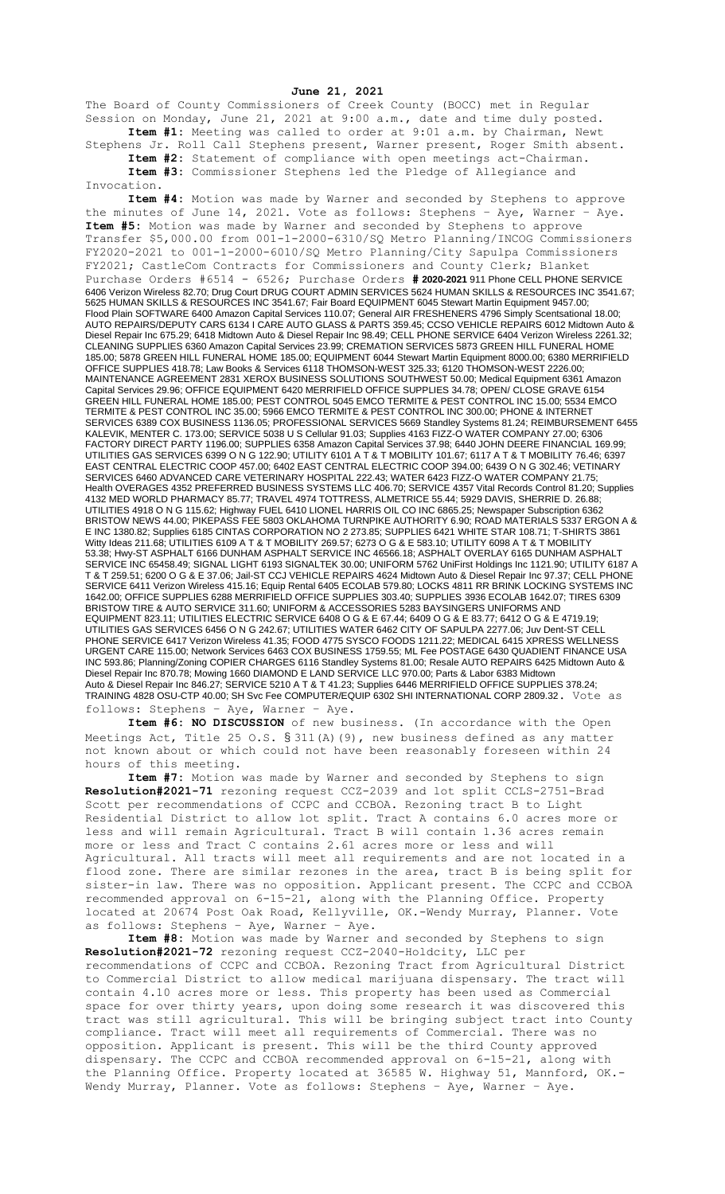## **June 21, 2021**

The Board of County Commissioners of Creek County (BOCC) met in Regular Session on Monday, June 21, 2021 at 9:00 a.m., date and time duly posted. **Item #1:** Meeting was called to order at 9:01 a.m. by Chairman, Newt

Stephens Jr. Roll Call Stephens present, Warner present, Roger Smith absent. **Item #2:** Statement of compliance with open meetings act-Chairman.

**Item #3:** Commissioner Stephens led the Pledge of Allegiance and Invocation.

**Item #4:** Motion was made by Warner and seconded by Stephens to approve the minutes of June 14, 2021. Vote as follows: Stephens – Aye, Warner – Aye. **Item #5:** Motion was made by Warner and seconded by Stephens to approve Transfer \$5,000.00 from 001-1-2000-6310/SQ Metro Planning/INCOG Commissioners FY2020-2021 to 001-1-2000-6010/SQ Metro Planning/City Sapulpa Commissioners FY2021; CastleCom Contracts for Commissioners and County Clerk; Blanket Purchase Orders #6514 - 6526; Purchase Orders **# 2020-2021** 911 Phone CELL PHONE SERVICE 6406 Verizon Wireless 82.70; Drug Court DRUG COURT ADMIN SERVICES 5624 HUMAN SKILLS & RESOURCES INC 3541.67; 5625 HUMAN SKILLS & RESOURCES INC 3541.67; Fair Board EQUIPMENT 6045 Stewart Martin Equipment 9457.00; Flood Plain SOFTWARE 6400 Amazon Capital Services 110.07; General AIR FRESHENERS 4796 Simply Scentsational 18.00; AUTO REPAIRS/DEPUTY CARS 6134 I CARE AUTO GLASS & PARTS 359.45; CCSO VEHICLE REPAIRS 6012 Midtown Auto & Diesel Repair Inc 675.29; 6418 Midtown Auto & Diesel Repair Inc 98.49; CELL PHONE SERVICE 6404 Verizon Wireless 2261.32; CLEANING SUPPLIES 6360 Amazon Capital Services 23.99; CREMATION SERVICES 5873 GREEN HILL FUNERAL HOME 185.00; 5878 GREEN HILL FUNERAL HOME 185.00; EQUIPMENT 6044 Stewart Martin Equipment 8000.00; 6380 MERRIFIELD OFFICE SUPPLIES 418.78; Law Books & Services 6118 THOMSON-WEST 325.33; 6120 THOMSON-WEST 2226.00; MAINTENANCE AGREEMENT 2831 XEROX BUSINESS SOLUTIONS SOUTHWEST 50.00; Medical Equipment 6361 Amazon Capital Services 29.96; OFFICE EQUIPMENT 6420 MERRIFIELD OFFICE SUPPLIES 34.78; OPEN/ CLOSE GRAVE 6154 GREEN HILL FUNERAL HOME 185.00; PEST CONTROL 5045 EMCO TERMITE & PEST CONTROL INC 15.00; 5534 EMCO TERMITE & PEST CONTROL INC 35.00; 5966 EMCO TERMITE & PEST CONTROL INC 300.00; PHONE & INTERNET SERVICES 6389 COX BUSINESS 1136.05; PROFESSIONAL SERVICES 5669 Standley Systems 81.24; REIMBURSEMENT 6455 KALEVIK, MENTER C. 173.00; SERVICE 5038 U S Cellular 91.03; Supplies 4163 FIZZ-O WATER COMPANY 27.00; 6306 FACTORY DIRECT PARTY 1196.00; SUPPLIES 6358 Amazon Capital Services 37.98; 6440 JOHN DEERE FINANCIAL 169.99; UTILITIES GAS SERVICES 6399 O N G 122.90; UTILITY 6101 A T & T MOBILITY 101.67; 6117 A T & T MOBILITY 76.46; 6397 EAST CENTRAL ELECTRIC COOP 457.00; 6402 EAST CENTRAL ELECTRIC COOP 394.00; 6439 O N G 302.46; VETINARY SERVICES 6460 ADVANCED CARE VETERINARY HOSPITAL 222.43; WATER 6423 FIZZ-O WATER COMPANY 21.75; Health OVERAGES 4352 PREFERRED BUSINESS SYSTEMS LLC 406.70; SERVICE 4357 Vital Records Control 81.20; Supplies 4132 MED WORLD PHARMACY 85.77; TRAVEL 4974 TOTTRESS, ALMETRICE 55.44; 5929 DAVIS, SHERRIE D. 26.88; UTILITIES 4918 O N G 115.62; Highway FUEL 6410 LIONEL HARRIS OIL CO INC 6865.25; Newspaper Subscription 6362 BRISTOW NEWS 44.00; PIKEPASS FEE 5803 OKLAHOMA TURNPIKE AUTHORITY 6.90; ROAD MATERIALS 5337 ERGON A & E INC 1380.82; Supplies 6185 CINTAS CORPORATION NO 2 273.85; SUPPLIES 6421 WHITE STAR 108.71; T-SHIRTS 3861 Witty Ideas 211.68; UTILITIES 6109 A T & T MOBILITY 269.57; 6273 O G & E 583.10; UTILITY 6098 A T & T MOBILITY 53.38; Hwy-ST ASPHALT 6166 DUNHAM ASPHALT SERVICE INC 46566.18; ASPHALT OVERLAY 6165 DUNHAM ASPHALT SERVICE INC 65458.49; SIGNAL LIGHT 6193 SIGNALTEK 30.00; UNIFORM 5762 UniFirst Holdings Inc 1121.90; UTILITY 6187 A T & T 259.51; 6200 O G & E 37.06; Jail-ST CCJ VEHICLE REPAIRS 4624 Midtown Auto & Diesel Repair Inc 97.37; CELL PHONE SERVICE 6411 Verizon Wireless 415.16; Equip Rental 6405 ECOLAB 579.80; LOCKS 4811 RR BRINK LOCKING SYSTEMS INC 1642.00; OFFICE SUPPLIES 6288 MERRIFIELD OFFICE SUPPLIES 303.40; SUPPLIES 3936 ECOLAB 1642.07; TIRES 6309 BRISTOW TIRE & AUTO SERVICE 311.60; UNIFORM & ACCESSORIES 5283 BAYSINGERS UNIFORMS AND EQUIPMENT 823.11; UTILITIES ELECTRIC SERVICE 6408 O G & E 67.44; 6409 O G & E 83.77; 6412 O G & E 4719.19; UTILITIES GAS SERVICES 6456 O N G 242.67; UTILITIES WATER 6462 CITY OF SAPULPA 2277.06; Juv Dent-ST CELL PHONE SERVICE 6417 Verizon Wireless 41.35; FOOD 4775 SYSCO FOODS 1211.22; MEDICAL 6415 XPRESS WELLNESS URGENT CARE 115.00; Network Services 6463 COX BUSINESS 1759.55; ML Fee POSTAGE 6430 QUADIENT FINANCE USA INC 593.86; Planning/Zoning COPIER CHARGES 6116 Standley Systems 81.00; Resale AUTO REPAIRS 6425 Midtown Auto & Diesel Repair Inc 870.78; Mowing 1660 DIAMOND E LAND SERVICE LLC 970.00; Parts & Labor 6383 Midtown Auto & Diesel Repair Inc 846.27; SERVICE 5210 A T & T 41.23; Supplies 6446 MERRIFIELD OFFICE SUPPLIES 378.24; TRAINING 4828 OSU-CTP 40.00; SH Svc Fee COMPUTER/EQUIP 6302 SHI INTERNATIONAL CORP 2809.32. Vote as follows: Stephens – Aye, Warner – Aye.

**Item #6: NO DISCUSSION** of new business. (In accordance with the Open Meetings Act, Title 25 O.S.  $\S 311(A)$  (9), new business defined as any matter not known about or which could not have been reasonably foreseen within 24 hours of this meeting.

**Item #7:** Motion was made by Warner and seconded by Stephens to sign **Resolution#2021-71** rezoning request CCZ-2039 and lot split CCLS-2751-Brad Scott per recommendations of CCPC and CCBOA. Rezoning tract B to Light Residential District to allow lot split. Tract A contains 6.0 acres more or less and will remain Agricultural. Tract B will contain 1.36 acres remain more or less and Tract C contains 2.61 acres more or less and will Agricultural. All tracts will meet all requirements and are not located in a flood zone. There are similar rezones in the area, tract B is being split for sister-in law. There was no opposition. Applicant present. The CCPC and CCBOA recommended approval on 6-15-21, along with the Planning Office. Property located at 20674 Post Oak Road, Kellyville, OK.-Wendy Murray, Planner. Vote as follows: Stephens – Aye, Warner – Aye.

**Item #8:** Motion was made by Warner and seconded by Stephens to sign **Resolution#2021-72** rezoning request CCZ-2040-Holdcity, LLC per recommendations of CCPC and CCBOA. Rezoning Tract from Agricultural District to Commercial District to allow medical marijuana dispensary. The tract will contain 4.10 acres more or less. This property has been used as Commercial space for over thirty years, upon doing some research it was discovered this tract was still agricultural. This will be bringing subject tract into County compliance. Tract will meet all requirements of Commercial. There was no opposition. Applicant is present. This will be the third County approved dispensary. The CCPC and CCBOA recommended approval on 6-15-21, along with the Planning Office. Property located at 36585 W. Highway 51, Mannford, OK.- Wendy Murray, Planner. Vote as follows: Stephens – Aye, Warner – Aye.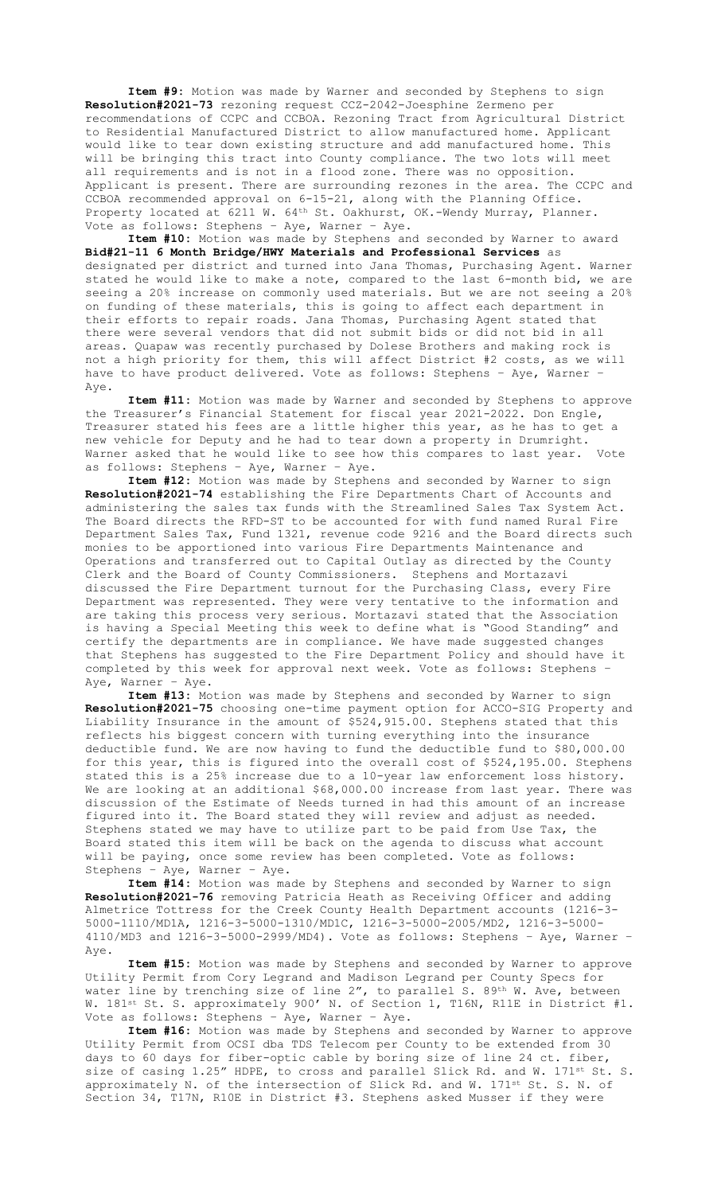**Item #9:** Motion was made by Warner and seconded by Stephens to sign **Resolution#2021-73** rezoning request CCZ-2042-Joesphine Zermeno per recommendations of CCPC and CCBOA. Rezoning Tract from Agricultural District to Residential Manufactured District to allow manufactured home. Applicant would like to tear down existing structure and add manufactured home. This will be bringing this tract into County compliance. The two lots will meet all requirements and is not in a flood zone. There was no opposition. Applicant is present. There are surrounding rezones in the area. The CCPC and CCBOA recommended approval on 6-15-21, along with the Planning Office. Property located at 6211 W. 64<sup>th</sup> St. Oakhurst, OK.-Wendy Murray, Planner. Vote as follows: Stephens – Aye, Warner – Aye.

**Item #10:** Motion was made by Stephens and seconded by Warner to award **Bid#21-11 6 Month Bridge/HWY Materials and Professional Services** as designated per district and turned into Jana Thomas, Purchasing Agent. Warner stated he would like to make a note, compared to the last 6-month bid, we are seeing a 20% increase on commonly used materials. But we are not seeing a 20% on funding of these materials, this is going to affect each department in their efforts to repair roads. Jana Thomas, Purchasing Agent stated that there were several vendors that did not submit bids or did not bid in all areas. Quapaw was recently purchased by Dolese Brothers and making rock is not a high priority for them, this will affect District #2 costs, as we will have to have product delivered. Vote as follows: Stephens – Aye, Warner – Aye.

**Item #11:** Motion was made by Warner and seconded by Stephens to approve the Treasurer's Financial Statement for fiscal year 2021-2022. Don Engle, Treasurer stated his fees are a little higher this year, as he has to get a new vehicle for Deputy and he had to tear down a property in Drumright. Warner asked that he would like to see how this compares to last year. as follows: Stephens – Aye, Warner – Aye.

**Item #12:** Motion was made by Stephens and seconded by Warner to sign **Resolution#2021-74** establishing the Fire Departments Chart of Accounts and administering the sales tax funds with the Streamlined Sales Tax System Act. The Board directs the RFD-ST to be accounted for with fund named Rural Fire Department Sales Tax, Fund 1321, revenue code 9216 and the Board directs such monies to be apportioned into various Fire Departments Maintenance and Operations and transferred out to Capital Outlay as directed by the County Clerk and the Board of County Commissioners. Stephens and Mortazavi discussed the Fire Department turnout for the Purchasing Class, every Fire Department was represented. They were very tentative to the information and are taking this process very serious. Mortazavi stated that the Association is having a Special Meeting this week to define what is "Good Standing" and certify the departments are in compliance. We have made suggested changes that Stephens has suggested to the Fire Department Policy and should have it completed by this week for approval next week. Vote as follows: Stephens – Aye, Warner – Aye.

**Item #13:** Motion was made by Stephens and seconded by Warner to sign **Resolution#2021-75** choosing one-time payment option for ACCO-SIG Property and Liability Insurance in the amount of \$524,915.00. Stephens stated that this reflects his biggest concern with turning everything into the insurance deductible fund. We are now having to fund the deductible fund to \$80,000.00 for this year, this is figured into the overall cost of \$524,195.00. Stephens stated this is a 25% increase due to a 10-year law enforcement loss history. We are looking at an additional \$68,000.00 increase from last year. There was discussion of the Estimate of Needs turned in had this amount of an increase figured into it. The Board stated they will review and adjust as needed. Stephens stated we may have to utilize part to be paid from Use Tax, the Board stated this item will be back on the agenda to discuss what account will be paying, once some review has been completed. Vote as follows: Stephens – Aye, Warner – Aye.

**Item #14:** Motion was made by Stephens and seconded by Warner to sign **Resolution#2021-76** removing Patricia Heath as Receiving Officer and adding Almetrice Tottress for the Creek County Health Department accounts (1216-3- 5000-1110/MD1A, 1216-3-5000-1310/MD1C, 1216-3-5000-2005/MD2, 1216-3-5000- 4110/MD3 and 1216-3-5000-2999/MD4). Vote as follows: Stephens – Aye, Warner – Aye.

**Item #15:** Motion was made by Stephens and seconded by Warner to approve Utility Permit from Cory Legrand and Madison Legrand per County Specs for water line by trenching size of line 2", to parallel S. 89th W. Ave, between W. 181st St. S. approximately 900' N. of Section 1, T16N, R11E in District #1. Vote as follows: Stephens – Aye, Warner – Aye.

**Item #16:** Motion was made by Stephens and seconded by Warner to approve Utility Permit from OCSI dba TDS Telecom per County to be extended from 30 days to 60 days for fiber-optic cable by boring size of line 24 ct. fiber, size of casing 1.25" HDPE, to cross and parallel Slick Rd. and W. 171st St. S. approximately N. of the intersection of Slick Rd. and W. 171<sup>st</sup> St. S. N. of Section 34, T17N, R10E in District #3. Stephens asked Musser if they were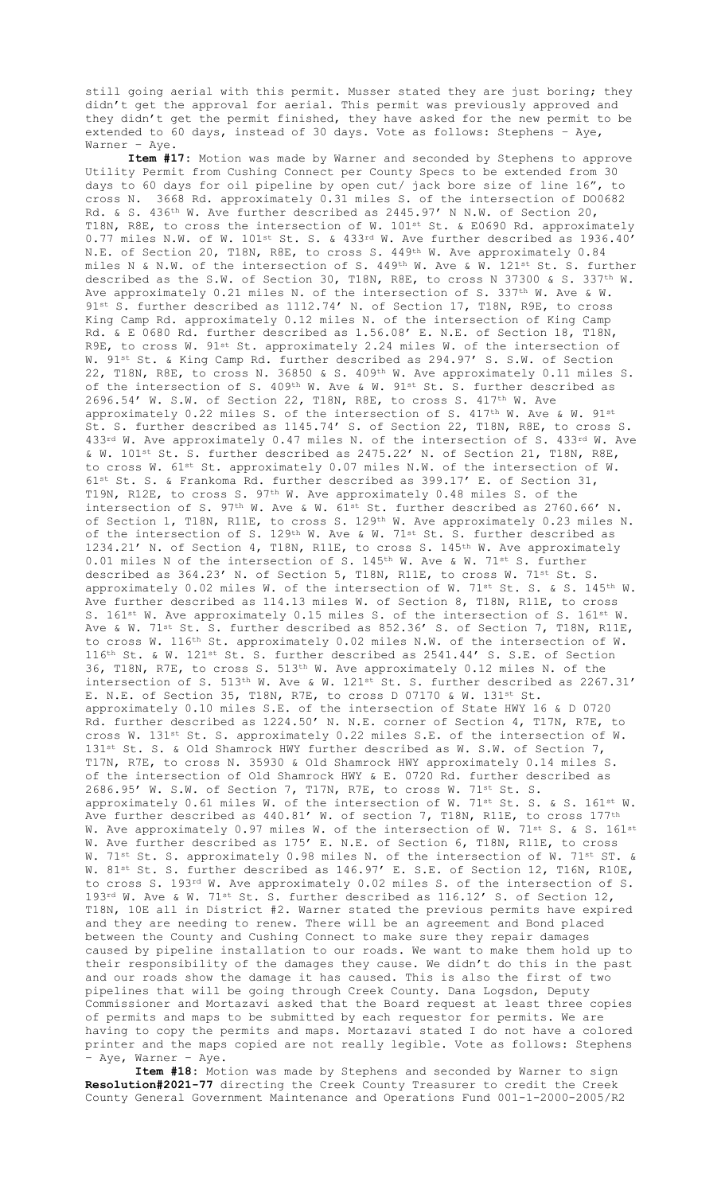still going aerial with this permit. Musser stated they are just boring; they didn't get the approval for aerial. This permit was previously approved and they didn't get the permit finished, they have asked for the new permit to be extended to 60 days, instead of 30 days. Vote as follows: Stephens – Aye, Warner – Aye.

**Item #17:** Motion was made by Warner and seconded by Stephens to approve Utility Permit from Cushing Connect per County Specs to be extended from 30 days to 60 days for oil pipeline by open cut/ jack bore size of line 16", to cross N. 3668 Rd. approximately 0.31 miles S. of the intersection of DO0682 Rd. & S. 436th W. Ave further described as 2445.97' N N.W. of Section 20, T18N, R8E, to cross the intersection of W. 101st St. & E0690 Rd. approximately 0.77 miles N.W. of W. 101st St. S. & 433rd W. Ave further described as 1936.40' N.E. of Section 20, T18N, R8E, to cross S. 449th W. Ave approximately 0.84 miles N & N.W. of the intersection of S.  $449th$  W. Ave & W. 121st St. S. further described as the S.W. of Section 30, T18N, R8E, to cross N 37300 & S. 337th W. Ave approximately 0.21 miles N. of the intersection of S. 337<sup>th</sup> W. Ave & W. 91<sup>st</sup> S. further described as 1112.74' N. of Section 17, T18N, R9E, to cross King Camp Rd. approximately 0.12 miles N. of the intersection of King Camp Rd. & E 0680 Rd. further described as 1.56.08' E. N.E. of Section 18, T18N, R9E, to cross W. 91st St. approximately 2.24 miles W. of the intersection of W. 91st St. & King Camp Rd. further described as 294.97' S. S.W. of Section 22, T18N, R8E, to cross N. 36850 & S. 409th W. Ave approximately 0.11 miles S. of the intersection of S. 409<sup>th</sup> W. Ave & W. 91<sup>st</sup> St. S. further described as 2696.54' W. S.W. of Section 22, T18N, R8E, to cross S. 417th W. Ave approximately 0.22 miles S. of the intersection of S. 417th W. Ave & W. 91st St. S. further described as 1145.74' S. of Section 22, T18N, R8E, to cross S. 433rd W. Ave approximately 0.47 miles N. of the intersection of S. 433rd W. Ave & W. 101st St. S. further described as 2475.22' N. of Section 21, T18N, R8E, to cross W. 61st St. approximately 0.07 miles N.W. of the intersection of W. 61st St. S. & Frankoma Rd. further described as 399.17' E. of Section 31, T19N, R12E, to cross S. 97<sup>th</sup> W. Ave approximately 0.48 miles S. of the intersection of S. 97<sup>th</sup> W. Ave & W. 61<sup>st</sup> St. further described as 2760.66' N. of Section 1, T18N, R11E, to cross S. 129<sup>th</sup> W. Ave approximately 0.23 miles N. of the intersection of S. 129<sup>th</sup> W. Ave & W. 71<sup>st</sup> St. S. further described as 1234.21' N. of Section 4, T18N, R11E, to cross S. 145<sup>th</sup> W. Ave approximately 0.01 miles N of the intersection of S. 145<sup>th</sup> W. Ave & W. 71<sup>st</sup> S. further described as 364.23' N. of Section 5, T18N, R11E, to cross W. 71<sup>st</sup> St. S. approximately  $0.02$  miles W. of the intersection of W. 71st St. S. & S. 145th W. Ave further described as 114.13 miles W. of Section 8, T18N, R11E, to cross S. 161<sup>st</sup> W. Ave approximately 0.15 miles S. of the intersection of S. 161<sup>st</sup> W. Ave & W. 71<sup>st</sup> St. S. further described as 852.36' S. of Section 7, T18N, R11E, to cross W. 116th St. approximately 0.02 miles N.W. of the intersection of W.  $116<sup>th</sup>$  St. & W.  $121<sup>st</sup>$  St. S. further described as  $2541.44'$  S. S.E. of Section 36, T18N, R7E, to cross S.  $513<sup>th</sup>$  W. Ave approximately 0.12 miles N. of the intersection of S.  $513<sup>th</sup>$  W. Ave & W.  $121<sup>st</sup>$  St. S. further described as  $2267.31'$ E. N.E. of Section 35, T18N, R7E, to cross D 07170 & W. 131st St. approximately 0.10 miles S.E. of the intersection of State HWY 16 & D 0720 Rd. further described as 1224.50' N. N.E. corner of Section 4, T17N, R7E, to cross W. 131st St. S. approximately 0.22 miles S.E. of the intersection of W. 131st St. S. & Old Shamrock HWY further described as W. S.W. of Section 7, T17N, R7E, to cross N. 35930 & Old Shamrock HWY approximately 0.14 miles S. of the intersection of Old Shamrock HWY & E. 0720 Rd. further described as 2686.95' W. S.W. of Section 7, T17N, R7E, to cross W. 71st St. S. approximately 0.61 miles W. of the intersection of W. 71st St. S. & S. 161st W. Ave further described as 440.81' W. of section 7, T18N, R11E, to cross 177<sup>th</sup> W. Ave approximately 0.97 miles W. of the intersection of W. 71st S. & S. 161st W. Ave further described as 175' E. N.E. of Section 6, T18N, R11E, to cross W. 71<sup>st</sup> St. S. approximately 0.98 miles N. of the intersection of W. 71<sup>st</sup> ST. & W. 81st St. S. further described as 146.97' E. S.E. of Section 12, T16N, R10E, to cross S. 193rd W. Ave approximately 0.02 miles S. of the intersection of S. 193rd W. Ave & W. 71st St. S. further described as 116.12' S. of Section 12, T18N, 10E all in District #2. Warner stated the previous permits have expired and they are needing to renew. There will be an agreement and Bond placed between the County and Cushing Connect to make sure they repair damages caused by pipeline installation to our roads. We want to make them hold up to their responsibility of the damages they cause. We didn't do this in the past and our roads show the damage it has caused. This is also the first of two pipelines that will be going through Creek County. Dana Logsdon, Deputy Commissioner and Mortazavi asked that the Board request at least three copies of permits and maps to be submitted by each requestor for permits. We are having to copy the permits and maps. Mortazavi stated I do not have a colored printer and the maps copied are not really legible. Vote as follows: Stephens - Aye, Warner - Aye.

**Item #18:** Motion was made by Stephens and seconded by Warner to sign **Resolution#2021-77** directing the Creek County Treasurer to credit the Creek County General Government Maintenance and Operations Fund 001-1-2000-2005/R2